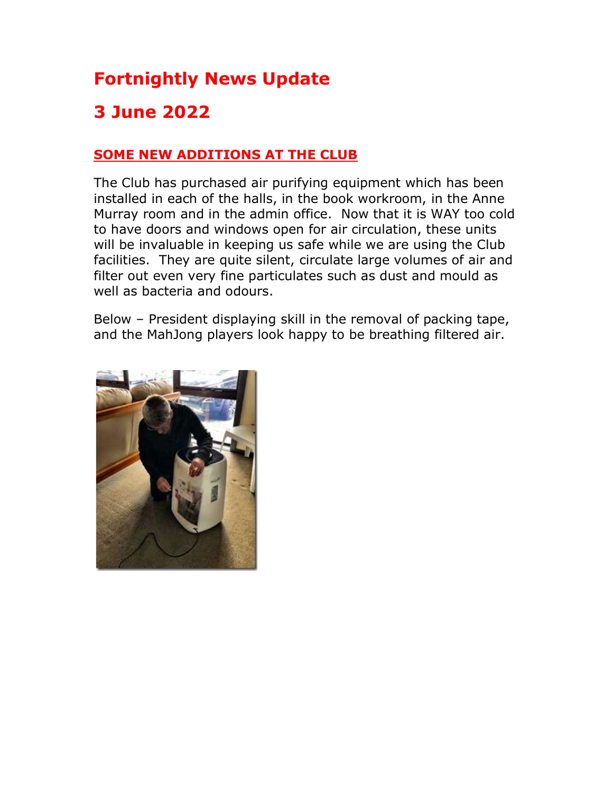# Fortnightly News Update

## 3 June 2022

#### SOME NEW ADDITIONS AT THE CLUB

The Club has purchased air purifying equipment which has been installed in each of the halls, in the book workroom, in the Anne Murray room and in the admin office. Now that it is WAY too cold to have doors and windows open for air circulation, these units will be invaluable in keeping us safe while we are using the Club facilities. They are quite silent, circulate large volumes of air and filter out even very fine particulates such as dust and mould as well as bacteria and odours.

Below – President displaying skill in the removal of packing tape, and the MahJong players look happy to be breathing filtered air.

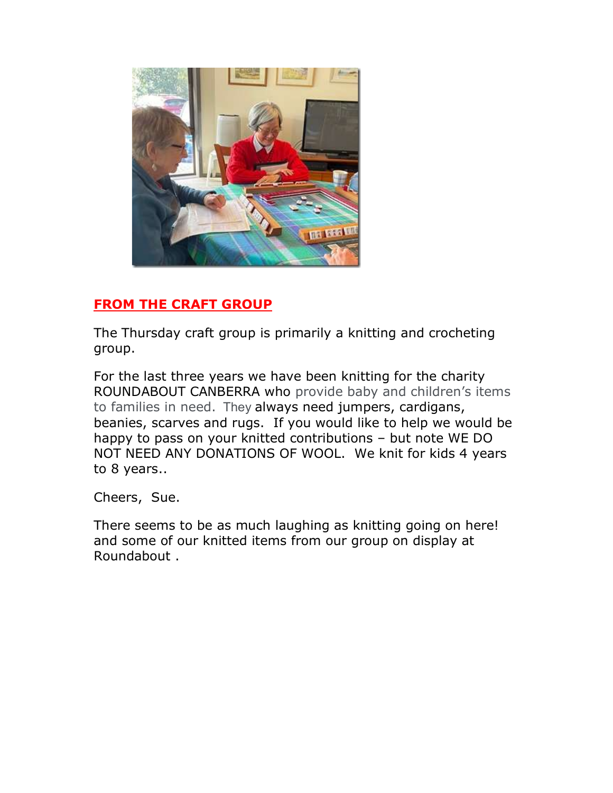

### FROM THE CRAFT GROUP

The Thursday craft group is primarily a knitting and crocheting group.

For the last three years we have been knitting for the charity ROUNDABOUT CANBERRA who provide baby and children's items to families in need. They always need jumpers, cardigans, beanies, scarves and rugs. If you would like to help we would be happy to pass on your knitted contributions – but note WE DO NOT NEED ANY DONATIONS OF WOOL. We knit for kids 4 years to 8 years..

Cheers, Sue.

There seems to be as much laughing as knitting going on here! and some of our knitted items from our group on display at Roundabout .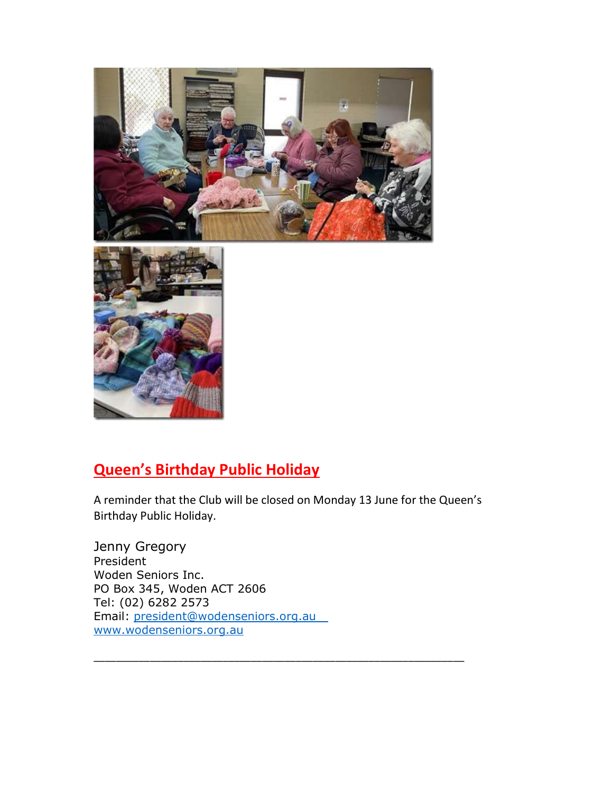



### Queen's Birthday Public Holiday

A reminder that the Club will be closed on Monday 13 June for the Queen's Birthday Public Holiday.

\_\_\_\_\_\_\_\_\_\_\_\_\_\_\_\_\_\_\_\_\_\_\_\_\_\_\_\_\_\_\_\_\_\_\_\_\_\_\_\_\_\_\_\_\_\_\_\_\_\_\_\_\_\_\_\_\_\_\_\_\_\_\_\_\_\_

Jenny Gregory President Woden Seniors Inc. PO Box 345, Woden ACT 2606 Tel: (02) 6282 2573 Email: president@wodenseniors.org.au www.wodenseniors.org.au